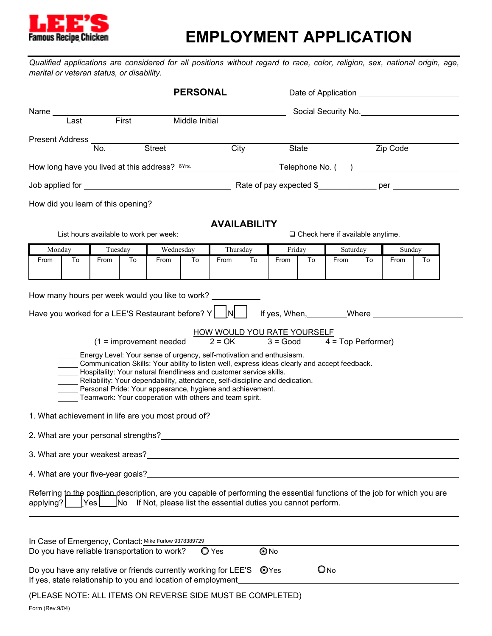

# **EMPLOYMENT APPLICATION**

*Qualified applications are considered for all positions without regard to race, color, religion, sex, national origin, age, marital or veteran status, or disability.*

| <b>PERSONAL</b>                     |    |         |    |                                                                                                                                                                                                                                                                                                                                                                                                                                                                                                                                                                                                                                                                                                                                                                                                                                                                                                                                                                                                                                                                                                            |    |                                                |    |                    |                   | Date of Application                     |    |        |    |  |
|-------------------------------------|----|---------|----|------------------------------------------------------------------------------------------------------------------------------------------------------------------------------------------------------------------------------------------------------------------------------------------------------------------------------------------------------------------------------------------------------------------------------------------------------------------------------------------------------------------------------------------------------------------------------------------------------------------------------------------------------------------------------------------------------------------------------------------------------------------------------------------------------------------------------------------------------------------------------------------------------------------------------------------------------------------------------------------------------------------------------------------------------------------------------------------------------------|----|------------------------------------------------|----|--------------------|-------------------|-----------------------------------------|----|--------|----|--|
| Name Last First<br>Middle Initial   |    |         |    |                                                                                                                                                                                                                                                                                                                                                                                                                                                                                                                                                                                                                                                                                                                                                                                                                                                                                                                                                                                                                                                                                                            |    |                                                |    |                    |                   | Social Security No.                     |    |        |    |  |
| Present Address<br>b. Street<br>No. |    |         |    |                                                                                                                                                                                                                                                                                                                                                                                                                                                                                                                                                                                                                                                                                                                                                                                                                                                                                                                                                                                                                                                                                                            |    | City                                           |    |                    | Zip Code<br>State |                                         |    |        |    |  |
|                                     |    |         |    |                                                                                                                                                                                                                                                                                                                                                                                                                                                                                                                                                                                                                                                                                                                                                                                                                                                                                                                                                                                                                                                                                                            |    |                                                |    |                    |                   |                                         |    |        |    |  |
|                                     |    |         |    |                                                                                                                                                                                                                                                                                                                                                                                                                                                                                                                                                                                                                                                                                                                                                                                                                                                                                                                                                                                                                                                                                                            |    |                                                |    |                    |                   |                                         |    |        |    |  |
|                                     |    |         |    | How did you learn of this opening? Learn and the control of the control of the control of the control of the control of the control of the control of the control of the control of the control of the control of the control                                                                                                                                                                                                                                                                                                                                                                                                                                                                                                                                                                                                                                                                                                                                                                                                                                                                              |    |                                                |    |                    |                   |                                         |    |        |    |  |
|                                     |    |         |    | List hours available to work per week:                                                                                                                                                                                                                                                                                                                                                                                                                                                                                                                                                                                                                                                                                                                                                                                                                                                                                                                                                                                                                                                                     |    | <b>AVAILABILITY</b>                            |    |                    |                   | $\Box$ Check here if available anytime. |    |        |    |  |
| Monday                              |    | Tuesday |    | Wednesday                                                                                                                                                                                                                                                                                                                                                                                                                                                                                                                                                                                                                                                                                                                                                                                                                                                                                                                                                                                                                                                                                                  |    | Thursday                                       |    | Friday             |                   | Saturday                                |    | Sunday |    |  |
| From                                | To | From    | To | From                                                                                                                                                                                                                                                                                                                                                                                                                                                                                                                                                                                                                                                                                                                                                                                                                                                                                                                                                                                                                                                                                                       | To | From                                           | To | From               | To                | From                                    | To | From   | To |  |
|                                     |    |         |    | How many hours per week would you like to work?<br>$(1 =$ improvement needed<br>Energy Level: Your sense of urgency, self-motivation and enthusiasm.<br>Communication Skills: Your ability to listen well, express ideas clearly and accept feedback.<br>Hospitality: Your natural friendliness and customer service skills.<br>Reliability: Your dependability, attendance, self-discipline and dedication.<br>Personal Pride: Your appearance, hygiene and achievement.<br>Teamwork: Your cooperation with others and team spirit.<br>1. What achievement in life are you most proud of? _____________________________<br>2. What are your personal strengths? <b>Example 2. What are also assumed as a strength of the control of the control of the control of the control of the control of the control of the control of the control of the control of</b><br>3. What are your weakest areas?<br><u> and the manual contract of the set of the set of the set of the set of the set of the set of the set of the set of the set of the set of the set of the set of the set of the set of the se</u> |    | <b>HOW WOULD YOU RATE YOURSELF</b><br>$2 = OK$ |    |                    |                   | $3 = Good$ $4 = Top$ Performer)         |    |        |    |  |
| applying?                           |    |         |    | 4. What are your five-year goals? The state of the state of the state of the state of the state of the state o<br>Referring to the position description, are you capable of performing the essential functions of the job for which you are<br>[Yes   No If Not, please list the essential duties you cannot perform.<br>In Case of Emergency, Contact: Mike Furlow 9378389729<br>Do you have reliable transportation to work?<br>Do you have any relative or friends currently working for LEE'S<br>If yes, state relationship to you and location of employment                                                                                                                                                                                                                                                                                                                                                                                                                                                                                                                                          |    | $\bigcirc$ Yes                                 |    | $\odot$ No<br>OYes |                   | $Q_{No}$                                |    |        |    |  |
|                                     |    |         |    | (PLEASE NOTE: ALL ITEMS ON REVERSE SIDE MUST BE COMPLETED)                                                                                                                                                                                                                                                                                                                                                                                                                                                                                                                                                                                                                                                                                                                                                                                                                                                                                                                                                                                                                                                 |    |                                                |    |                    |                   |                                         |    |        |    |  |